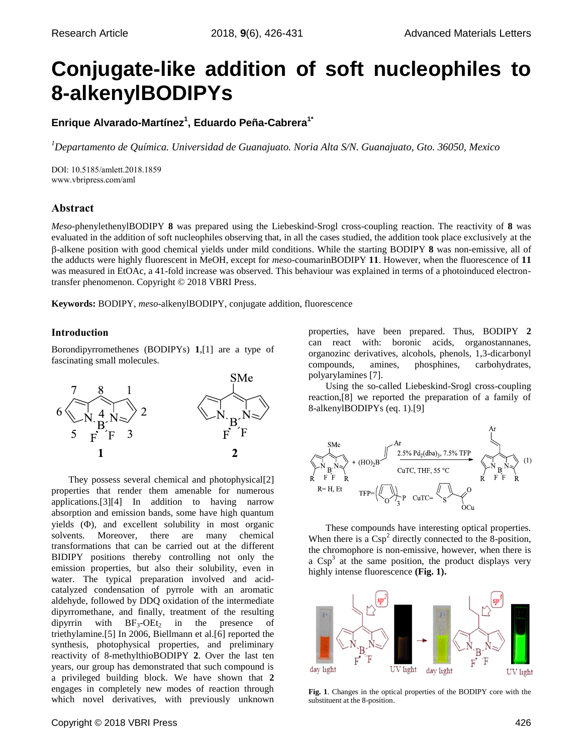# **Conjugate-like addition of soft nucleophiles to 8-alkenylBODIPYs**

**Enrique Alvarado-Martínez<sup>1</sup> , Eduardo Peña-Cabrera1\***

*<sup>1</sup>Departamento de Química. Universidad de Guanajuato. Noria Alta S/N. Guanajuato, Gto. 36050, Mexico*

DOI: 10.5185/amlett.2018.1859 www.vbripress.com/aml

# **Abstract**

*Meso*-phenylethenylBODIPY **8** was prepared using the Liebeskind-Srogl cross-coupling reaction. The reactivity of **8** was evaluated in the addition of soft nucleophiles observing that, in all the cases studied, the addition took place exclusively at the -alkene position with good chemical yields under mild conditions. While the starting BODIPY **8** was non-emissive, all of the adducts were highly fluorescent in MeOH, except for *meso*-coumarinBODIPY **11**. However, when the fluorescence of **11** was measured in EtOAc, a 41-fold increase was observed. This behaviour was explained in terms of a photoinduced electrontransfer phenomenon. Copyright © 2018 VBRI Press.

**Keywords:** BODIPY, *meso*-alkenylBODIPY, conjugate addition, fluorescence

# **Introduction**

Borondipyrromethenes (BODIPYs) **1**,[1] are a type of fascinating small molecules.



They possess several chemical and photophysical[2] properties that render them amenable for numerous applications.[3][4] In addition to having narrow absorption and emission bands, some have high quantum yields  $(\Phi)$ , and excellent solubility in most organic solvents. Moreover, there are many chemical transformations that can be carried out at the different BIDIPY positions thereby controlling not only the emission properties, but also their solubility, even in water. The typical preparation involved and acidcatalyzed condensation of pyrrole with an aromatic aldehyde, followed by DDQ oxidation of the intermediate dipyrromethane, and finally, treatment of the resulting dipyrrin with  $BF_3-OEt_2$  in the presence of triethylamine.[5] In 2006, Biellmann et al.[6] reported the synthesis, photophysical properties, and preliminary reactivity of 8-methylthioBODIPY **2**. Over the last ten years, our group has demonstrated that such compound is a privileged building block. We have shown that **2** engages in completely new modes of reaction through which novel derivatives, with previously unknown properties, have been prepared. Thus, BODIPY **2** can react with: boronic acids, organostannanes, organozinc derivatives, alcohols, phenols, 1,3-dicarbonyl compounds, amines, phosphines, carbohydrates, polyarylamines [7].

Using the so-called Liebeskind-Srogl cross-coupling reaction,[8] we reported the preparation of a family of 8-alkenylBODIPYs (eq. 1).[9]



These compounds have interesting optical properties. When there is a  $Csp^2$  directly connected to the 8-position, the chromophore is non-emissive, however, when there is a  $Csp<sup>3</sup>$  at the same position, the product displays very highly intense fluorescence **(Fig. 1).**



**Fig. 1**. Changes in the optical properties of the BODIPY core with the substituent at the 8-position.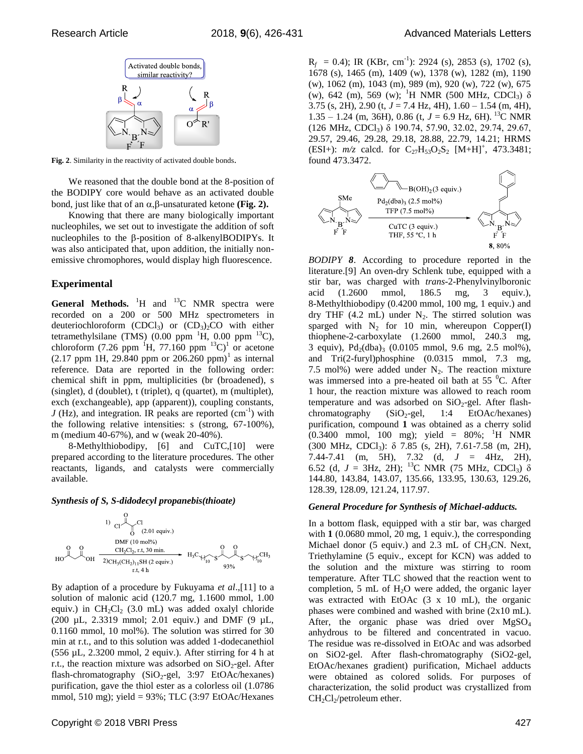

**Fig. 2**. Similarity in the reactivity of activated double bonds.

We reasoned that the double bond at the 8-position of the BODIPY core would behave as an activated double bond, just like that of an  $\alpha$ ,  $\beta$ -unsaturated ketone (Fig. 2).

Knowing that there are many biologically important nucleophiles, we set out to investigate the addition of soft nucleophiles to the  $\beta$ -position of 8-alkenylBODIPYs. It was also anticipated that, upon addition, the initially nonemissive chromophores, would display high fluorescence.

## **Experimental**

General Methods. <sup>1</sup>H and <sup>13</sup>C NMR spectra were recorded on a 200 or 500 MHz spectrometers in deuteriochloroform  $(CDCl<sub>3</sub>)$  or  $(CD<sub>3</sub>)<sub>2</sub>CO$  with either tetramethylsilane (TMS) (0.00 ppm  $^1$ H, 0.00 ppm  $^{13}$ C), chloroform (7.26 ppm  $\mathrm{^{1}H}$ , 77.160 ppm  $\mathrm{^{13}C})^{1}$  or acetone  $(2.17 \text{ ppm} \cdot 1H, 29.840 \text{ ppm} \cdot 206.260 \text{ ppm})^1$  as internal reference. Data are reported in the following order: chemical shift in ppm, multiplicities (br (broadened), s (singlet), d (doublet), t (triplet), q (quartet), m (multiplet), exch (exchangeable), app (apparent)), coupling constants,  $J$  (Hz), and integration. IR peaks are reported  $(cm<sup>-1</sup>)$  with the following relative intensities: s (strong, 67-100%), m (medium 40-67%), and w (weak 20-40%).

8-Methylthiobodipy, [6] and CuTC,[10] were prepared according to the literature procedures. The other reactants, ligands, and catalysts were commercially available.

## *Synthesis of S, S-didodecyl propanebis(thioate)*



By adaption of a procedure by Fukuyama *et al*.,[11] to a solution of malonic acid (120.7 mg, 1.1600 mmol, 1.00 equiv.) in  $CH_2Cl_2$  (3.0 mL) was added oxalyl chloride (200 µL, 2.3319 mmol; 2.01 equiv.) and DMF (9 µL, 0.1160 mmol, 10 mol%). The solution was stirred for 30 min at r.t., and to this solution was added 1-dodecanethiol  $(556 \mu L, 2.3200 \text{ mmol}, 2 \text{ equiv.})$ . After stirring for 4 h at r.t., the reaction mixture was adsorbed on  $SiO<sub>2</sub>$ -gel. After flash-chromatography  $(SiO_2$ -gel, 3:97 EtOAc/hexanes) purification, gave the thiol ester as a colorless oil (1.0786 mmol, 510 mg); yield = 93%; TLC (3:97 EtOAc/Hexanes

 $R_f$  = 0.4); IR (KBr, cm<sup>-1</sup>): 2924 (s), 2853 (s), 1702 (s), 1678 (s), 1465 (m), 1409 (w), 1378 (w), 1282 (m), 1190 (w), 1062 (m), 1043 (m), 989 (m), 920 (w), 722 (w), 675 (w), 642 (m), 569 (w); <sup>1</sup>H NMR (500 MHz, CDCl<sub>3</sub>)  $\delta$ 3.75 (s, 2H), 2.90 (t,  $J = 7.4$  Hz, 4H),  $1.60 - 1.54$  (m, 4H), 1.35 – 1.24 (m, 36H), 0.86 (t,  $J = 6.9$  Hz, 6H). <sup>13</sup>C NMR  $(126 \text{ MHz}, \text{CDCl}_3)$  δ 190.74, 57.90, 32.02, 29.74, 29.67, 29.57, 29.46, 29.28, 29.18, 28.88, 22.79, 14.21; HRMS (ESI+):  $m/z$  calcd. for  $C_{27}H_{53}O_2S_2$  [M+H]<sup>+</sup>, 473.3481; found 473.3472.



*BODIPY 8*. According to procedure reported in the literature.[9] An oven-dry Schlenk tube, equipped with a stir bar, was charged with *trans*-2-Phenylvinylboronic acid (1.2600 mmol, 186.5 mg, 3 equiv.), 8-Methylthiobodipy (0.4200 mmol, 100 mg, 1 equiv.) and dry THF (4.2 mL) under  $N_2$ . The stirred solution was sparged with  $N_2$  for 10 min, whereupon Copper(I) thiophene-2-carboxylate (1.2600 mmol, 240.3 mg, 3 equiv),  $Pd_2(dba)$ <sub>3</sub> (0.0105 mmol, 9.6 mg, 2.5 mol%), and Tri(2-furyl)phosphine (0.0315 mmol, 7.3 mg, 7.5 mol%) were added under  $N_2$ . The reaction mixture was immersed into a pre-heated oil bath at  $55<sup>0</sup>C$ . After 1 hour, the reaction mixture was allowed to reach room temperature and was adsorbed on  $SiO<sub>2</sub>$ -gel. After flashchromatography  $(SiO_2$ -gel, 1:4 EtOAc/hexanes) purification, compound **1** was obtained as a cherry solid  $(0.3400 \text{ mmol}, 100 \text{ mg})$ ; yield = 80%; <sup>1</sup>H NMR (300 MHz, CDCl<sub>3</sub>):  $\delta$  7.85 (s, 2H), 7.61-7.58 (m, 2H), 7.44-7.41 (m, 5H), 7.32 (d, *J* = 4Hz, 2H), 6.52 (d,  $J = 3$ Hz, 2H); <sup>13</sup>C NMR (75 MHz, CDCl<sub>3</sub>)  $\delta$ 144.80, 143.84, 143.07, 135.66, 133.95, 130.63, 129.26, 128.39, 128.09, 121.24, 117.97.

## *General Procedure for Synthesis of Michael-adducts.*

In a bottom flask, equipped with a stir bar, was charged with **1** (0.0680 mmol, 20 mg, 1 equiv.), the corresponding Michael donor (5 equiv.) and  $2.3$  mL of CH<sub>3</sub>CN. Next, Triethylamine (5 equiv., except for KCN) was added to the solution and the mixture was stirring to room temperature. After TLC showed that the reaction went to completion, 5 mL of  $H<sub>2</sub>O$  were added, the organic layer was extracted with EtOAc  $(3 \times 10 \text{ mL})$ , the organic phases were combined and washed with brine (2x10 mL). After, the organic phase was dried over  $MgSO<sub>4</sub>$ anhydrous to be filtered and concentrated in vacuo. The residue was re-dissolved in EtOAc and was adsorbed on SiO2-gel. After flash-chromatography (SiO2-gel, EtOAc/hexanes gradient) purification, Michael adducts were obtained as colored solids. For purposes of characterization, the solid product was crystallized from  $CH_2Cl_2$ /petroleum ether.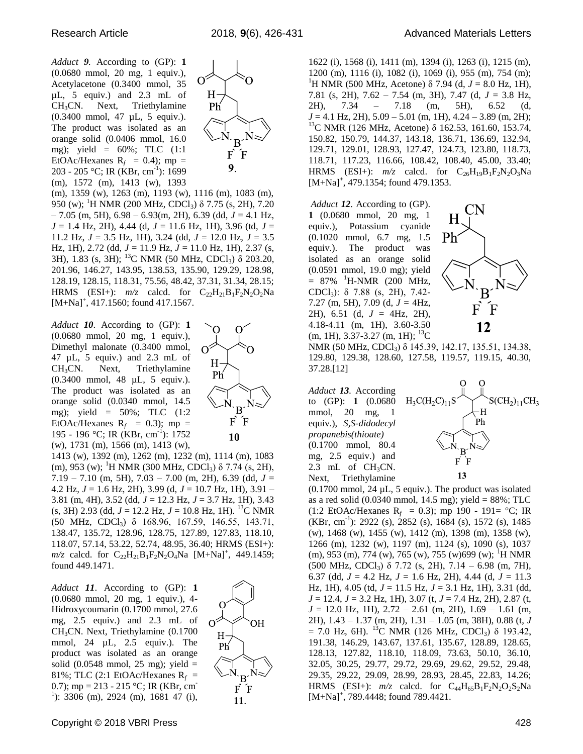*Adduct 9.* According to (GP): **1**  (0.0680 mmol, 20 mg, 1 equiv.), Acetylacetone (0.3400 mmol, 35 µL, 5 equiv.) and 2.3 mL of CH3CN. Next, Triethylamine (0.3400 mmol, 47 µL, 5 equiv.). The product was isolated as an orange solid (0.0406 mmol, 16.0 mg); yield =  $60\%$ ; TLC  $(1:1)$ EtOAc/Hexanes  $R_f = 0.4$ ; mp = 203 - 205 °C; IR (KBr, cm<sup>-1</sup>): 1699 (m), 1572 (m), 1413 (w), 1393



(m), 1359 (w), 1263 (m), 1193 (w), 1116 (m), 1083 (m), 950 (w); <sup>1</sup>H NMR (200 MHz, CDCl<sub>3</sub>) δ 7.75 (s, 2H), 7.20 – 7.05 (m, 5H), 6.98 – 6.93(m, 2H), 6.39 (dd, *J* = 4.1 Hz, *J* = 1.4 Hz, 2H), 4.44 (d, *J* = 11.6 Hz, 1H), 3.96 (td, *J* = 11.2 Hz, *J* = 3.5 Hz, 1H), 3.24 (dd, *J* = 12.0 Hz, *J* = 3.5 Hz, 1H), 2.72 (dd, *J* = 11.9 Hz, *J* = 11.0 Hz, 1H), 2.37 (s, 3H), 1.83 (s, 3H); <sup>13</sup>C NMR (50 MHz, CDCl3) δ 203.20, 201.96, 146.27, 143.95, 138.53, 135.90, 129.29, 128.98, 128.19, 128.15, 118.31, 75.56, 48.42, 37.31, 31.34, 28.15; HRMS (ESI+):  $m/z$  calcd. for  $C_{22}H_{21}B_1F_2N_2O_2Na$  $[M+Na]^+, 417.1560$ ; found 417.1567.

*Adduct 10*. According to (GP): **1**  (0.0680 mmol, 20 mg, 1 equiv.), Dimethyl malonate (0.3400 mmol, 47 µL, 5 equiv.) and 2.3 mL of  $CH<sub>3</sub>CN.$  Next, Triethylamine (0.3400 mmol, 48 µL, 5 equiv.). The product was isolated as an orange solid (0.0340 mmol, 14.5 mg); yield = 50%; TLC (1:2 EtOAc/Hexanes  $R_f$  = 0.3); mp = 195 - 196 °C; IR (KBr, cm<sup>-1</sup>): 1752 (w), 1731 (m), 1566 (m), 1413 (w),



1413 (w), 1392 (m), 1262 (m), 1232 (m), 1114 (m), 1083 (m), 953 (w); <sup>1</sup>H NMR (300 MHz, CDCl<sub>3</sub>) δ 7.74 (s, 2H), 7.19 – 7.10 (m, 5H), 7.03 – 7.00 (m, 2H), 6.39 (dd, *J* = 4.2 Hz, *J* = 1.6 Hz, 2H), 3.99 (d, *J* = 10.7 Hz, 1H), 3.91 – 3.81 (m, 4H), 3.52 (dd, *J* = 12.3 Hz, *J* = 3.7 Hz, 1H), 3.43  $(s, 3H)$  2.93 (dd,  $J = 12.2$  Hz,  $J = 10.8$  Hz, 1H). <sup>13</sup>C NMR (50 MHz, CDCl3) δ 168.96, 167.59, 146.55, 143.71, 138.47, 135.72, 128.96, 128.75, 127.89, 127.83, 118.10, 118.07, 57.14, 53.22, 52.74, 48.95, 36.40; HRMS (ESI+):  $m/z$  calcd. for  $C_{22}H_{21}B_1F_2N_2O_4Na$  [M+Na]<sup>+</sup>, 449.1459; found 449.1471.

*Adduct 11*. According to (GP): **1**  (0.0680 mmol, 20 mg, 1 equiv.), 4- Hidroxycoumarin (0.1700 mmol, 27.6 mg, 2.5 equiv.) and 2.3 mL of CH3CN. Next, Triethylamine (0.1700 mmol, 24 µL, 2.5 equiv.). The product was isolated as an orange solid (0.0548 mmol, 25 mg); yield  $=$ 81%; TLC (2:1 EtOAc/Hexanes  $R_f$  = 0.7); mp = 213 - 215 °C; IR (KBr, cm<sup>-</sup>  $1$ ): 3306 (m), 2924 (m), 1681 47 (i),



11.

Copyright © 2018 VBRI Press 428

1622 (i), 1568 (i), 1411 (m), 1394 (i), 1263 (i), 1215 (m), 1200 (m), 1116 (i), 1082 (i), 1069 (i), 955 (m), 754 (m); <sup>1</sup>H NMR (500 MHz, Acetone) δ 7.94 (d,  $J = 8.0$  Hz, 1H), 7.81 (s, 2H), 7.62 – 7.54 (m, 3H), 7.47 (d, *J* = 3.8 Hz, 2H), 7.34 – 7.18 (m, 5H), 6.52 (d, *J* = 4.1 Hz, 2H), 5.09 – 5.01 (m, 1H), 4.24 – 3.89 (m, 2H); <sup>13</sup>C NMR (126 MHz, Acetone) δ 162.53, 161.60, 153.74, 150.82, 150.79, 144.37, 143.18, 136.71, 136.69, 132.94, 129.71, 129.01, 128.93, 127.47, 124.73, 123.80, 118.73, 118.71, 117.23, 116.66, 108.42, 108.40, 45.00, 33.40; HRMS (ESI+):  $m/z$  calcd. for  $C_{26}H_{19}B_1F_2N_2O_3Na$  $[M+Na]^+, 479.1354$ ; found 479.1353.

*Adduct 12*. According to (GP). **1** (0.0680 mmol, 20 mg, 1 equiv.), Potassium cyanide (0.1020 mmol, 6.7 mg, 1.5 equiv.). The product was isolated as an orange solid (0.0591 mmol, 19.0 mg); yield  $= 87\%$  <sup>1</sup>H-NMR (200 MHz, CDCl3): δ 7.88 (s, 2H), 7.42- 7.27 (m, 5H), 7.09 (d, *J =* 4Hz, 2H), 6.51 (d, *J* = 4Hz, 2H), 4.18-4.11 (m, 1H), 3.60-3.50  $(m, 1H), 3.37-3.27$   $(m, 1H);$  <sup>13</sup>C



NMR (50 MHz, CDCl<sub>3</sub>) δ 145.39, 142.17, 135.51, 134.38, 129.80, 129.38, 128.60, 127.58, 119.57, 119.15, 40.30, 37.28.[12]

*Adduct 13.* According to (GP): **1** (0.0680 mmol, 20 mg, 1 equiv.), *S,S-didodecyl propanebis(thioate)* (0.1700 mmol, 80.4 mg, 2.5 equiv.) and 2.3 mL of  $CH<sub>3</sub>CN$ . Next, Triethylamine



 $(0.1700 \text{ mmol}, 24 \mu L, 5 \text{ equiv.})$ . The product was isolated as a red solid  $(0.0340 \text{ mmol}, 14.5 \text{ mg})$ ; yield = 88%; TLC  $(1:2 \text{ EtOAc/Hexanes } R_f = 0.3)$ ; mp 190 - 191= °C; IR  $(KBr, cm^{-1})$ : 2922 (s), 2852 (s), 1684 (s), 1572 (s), 1485 (w), 1468 (w), 1455 (w), 1412 (m), 1398 (m), 1358 (w), 1266 (m), 1232 (w), 1197 (m), 1124 (s), 1090 (s), 1037  $(m)$ , 953  $(m)$ , 774  $(w)$ , 765  $(w)$ , 755  $(w)$ 699  $(w)$ ; <sup>1</sup>H NMR (500 MHz, CDCl3) δ 7.72 (s, 2H), 7.14 – 6.98 (m, 7H), 6.37 (dd,  $J = 4.2$  Hz,  $J = 1.6$  Hz, 2H), 4.44 (d,  $J = 11.3$ Hz, 1H), 4.05 (td, *J* = 11.5 Hz, *J* = 3.1 Hz, 1H), 3.31 (dd, *J* = 12.4, *J* = 3.2 Hz, 1H), 3.07 (t, *J* = 7.4 Hz, 2H), 2.87 (t,  $J = 12.0$  Hz, 1H),  $2.72 - 2.61$  (m, 2H),  $1.69 - 1.61$  (m, 2H), 1.43 – 1.37 (m, 2H), 1.31 – 1.05 (m, 38H), 0.88 (t, *J*  $= 7.0$  Hz, 6H). <sup>13</sup>C NMR (126 MHz, CDCl<sub>3</sub>) δ 193.42, 191.38, 146.29, 143.67, 137.61, 135.67, 128.89, 128.65, 128.13, 127.82, 118.10, 118.09, 73.63, 50.10, 36.10, 32.05, 30.25, 29.77, 29.72, 29.69, 29.62, 29.52, 29.48, 29.35, 29.22, 29.09, 28.99, 28.93, 28.45, 22.83, 14.26; HRMS (ESI+):  $m/z$  calcd. for  $C_{44}H_{65}B_1F_2N_2O_2S_2Na$  $[M+Na]^+, 789.4448$ ; found 789.4421.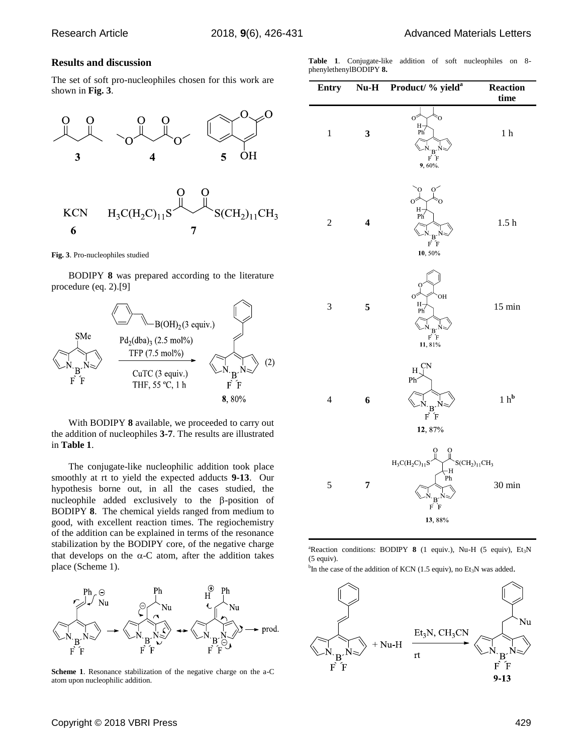## **Results and discussion**

The set of soft pro-nucleophiles chosen for this work are shown in **Fig. 3**.



**Fig. 3**. Pro-nucleophiles studied

BODIPY **8** was prepared according to the literature procedure (eq. 2).[9]



With BODIPY **8** available, we proceeded to carry out the addition of nucleophiles **3-7**. The results are illustrated in **Table 1**.

The conjugate-like nucleophilic addition took place smoothly at rt to yield the expected adducts **9-13**. Our hypothesis borne out, in all the cases studied, the nucleophile added exclusively to the  $\beta$ -position of BODIPY **8**. The chemical yields ranged from medium to good, with excellent reaction times. The regiochemistry of the addition can be explained in terms of the resonance stabilization by the BODIPY core, of the negative charge that develops on the  $\alpha$ -C atom, after the addition takes place (Scheme 1).



**Scheme 1**. Resonance stabilization of the negative charge on the a-C atom upon nucleophilic addition.

**Table 1**. Conjugate-like addition of soft nucleophiles on 8 phenylethenylBODIPY **8.**

| <b>Entry</b>   |                         | Nu-H Product/ % yield <sup>a</sup>                                                              | Reaction<br>time |
|----------------|-------------------------|-------------------------------------------------------------------------------------------------|------------------|
| $\,1$          | 3                       | σ<br>ъý<br>$H_{\text{Ph}}$<br>$\frac{N}{F}$ $\frac{B}{F}$<br>9,60%                              | 1 <sub>h</sub>   |
| $\overline{c}$ | $\overline{\mathbf{4}}$ | $H -$ Ph<br>$N_{\cdot}B^{\cdot}$<br>$\vec{F}$ $\vec{F}$<br>10, 50%                              | 1.5 <sub>h</sub> |
| 3              | 5                       | OН<br>C<br>H-<br>Ph<br>$\sim_{\mathbf{B}} N$<br>FF<br>11, 81%                                   | $15 \text{ min}$ |
| $\overline{4}$ | 6                       | H,<br>Ph<br>$\frac{N}{F}$ $\frac{B}{F}$<br>12, 87%                                              | $1~\rm{h}^b$     |
| 5              | 7                       | $H_3C(H_2C)_{11}$<br>$SCH2)11CH3$<br>$-H$<br>Ph<br>$F$ $\overline{F}$ $\overline{F}$<br>13, 88% | 30 min           |

<sup>a</sup>Reaction conditions: BODIPY 8 (1 equiv.), Nu-H (5 equiv), Et<sub>3</sub>N (5 equiv).

<sup>b</sup>In the case of the addition of KCN (1.5 equiv), no Et<sub>3</sub>N was added.

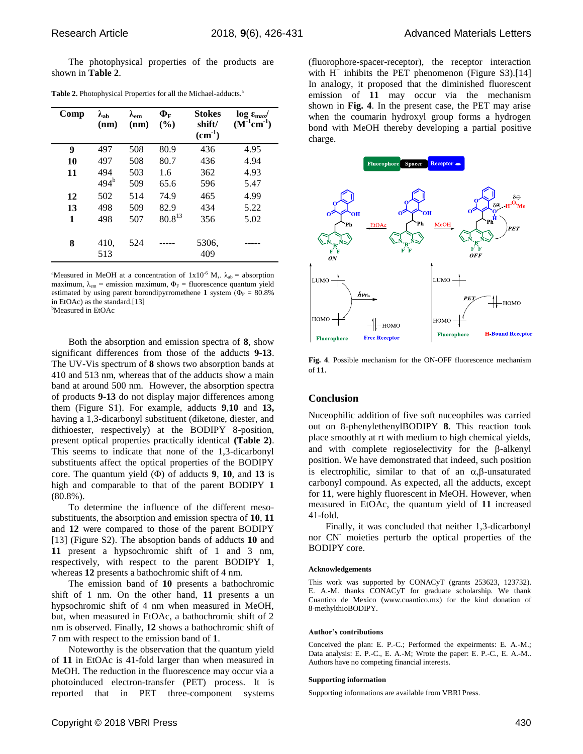The photophysical properties of the products are shown in **Table 2**.

| Comp | $\lambda_{ab}$<br>(nm) | $\lambda_{\rm em}$<br>(nm) | $\Phi_{\text{F}}$<br>$($ %) | <b>Stokes</b><br>shift/<br>$(cm-1)$ | $\log \epsilon_{\rm max}$<br>$(M^{-1}cm^{-1})$ |
|------|------------------------|----------------------------|-----------------------------|-------------------------------------|------------------------------------------------|
| 9    | 497                    | 508                        | 80.9                        | 436                                 | 4.95                                           |
| 10   | 497                    | 508                        | 80.7                        | 436                                 | 4.94                                           |
| 11   | 494                    | 503                        | 1.6                         | 362                                 | 4.93                                           |
|      | $494^b$                | 509                        | 65.6                        | 596                                 | 5.47                                           |
| 12   | 502                    | 514                        | 74.9                        | 465                                 | 4.99                                           |
| 13   | 498                    | 509                        | 82.9                        | 434                                 | 5.22                                           |
| 1    | 498                    | 507                        | $80.8^{13}$                 | 356                                 | 5.02                                           |
| 8    | 410,<br>513            | 524                        |                             | 5306,<br>409                        |                                                |

Table 2. Photophysical Properties for all the Michael-adducts.<sup>a</sup>

<sup>a</sup>Measured in MeOH at a concentration of  $1x10^{-6}$  M,.  $\lambda_{ab}$  = absorption maximum,  $\lambda_{em}$  = emission maximum,  $\Phi_F$  = fluorescence quantum yield estimated by using parent borondipyrromethene **1** system ( $\Phi_F = 80.8\%$ in EtOAc) as the standard.[13] <sup>b</sup>Measured in EtOAc

Both the absorption and emission spectra of **8**, show significant differences from those of the adducts **9-13**. The UV-Vis spectrum of **8** shows two absorption bands at 410 and 513 nm, whereas that of the adducts show a main band at around 500 nm. However, the absorption spectra of products **9-13** do not display major differences among them (Figure S1). For example, adducts **9**,**10** and **13,** having a 1,3-dicarbonyl substituent (diketone, diester, and dithioester, respectively) at the BODIPY 8-position, present optical properties practically identical **(Table 2)**. This seems to indicate that none of the 1,3-dicarbonyl substituents affect the optical properties of the BODIPY core. The quantum yield  $(\Phi)$  of adducts **9**, **10**, and **13** is high and comparable to that of the parent BODIPY **1** (80.8%).

To determine the influence of the different mesosubstituents, the absorption and emission spectra of **10**, **11** and **12** were compared to those of the parent BODIPY [13] (Figure S2). The absoption bands of adducts **10** and **11** present a hypsochromic shift of 1 and 3 nm, respectively, with respect to the parent BODIPY **1**, whereas **12** presents a bathochromic shift of 4 nm.

The emission band of **10** presents a bathochromic shift of 1 nm. On the other hand, **11** presents a un hypsochromic shift of 4 nm when measured in MeOH, but, when measured in EtOAc, a bathochromic shift of 2 nm is observed. Finally, **12** shows a bathochromic shift of 7 nm with respect to the emission band of **1**.

Noteworthy is the observation that the quantum yield of **11** in EtOAc is 41-fold larger than when measured in MeOH. The reduction in the fluorescence may occur via a photoinduced electron-transfer (PET) process. It is reported that in PET three-component systems (fluorophore-spacer-receptor), the receptor interaction with  $H^+$  inhibits the PET phenomenon (Figure S3).[14] In analogy, it proposed that the diminished fluorescent emission of **11** may occur via the mechanism shown in **Fig. 4**. In the present case, the PET may arise when the coumarin hydroxyl group forms a hydrogen bond with MeOH thereby developing a partial positive charge.



**Fig. 4**. Possible mechanism for the ON-OFF fluorescence mechanism of **11**.

## **Conclusion**

Nuceophilic addition of five soft nuceophiles was carried out on 8-phenylethenylBODIPY **8**. This reaction took place smoothly at rt with medium to high chemical yields, and with complete regioselectivity for the  $\beta$ -alkenyl position. We have demonstrated that indeed, such position is electrophilic, similar to that of an  $\alpha$ ,  $\beta$ -unsaturated carbonyl compound. As expected, all the adducts, except for **11**, were highly fluorescent in MeOH. However, when measured in EtOAc, the quantum yield of **11** increased 41-fold.

Finally, it was concluded that neither 1,3-dicarbonyl nor CN- moieties perturb the optical properties of the BODIPY core.

#### **Acknowledgements**

This work was supported by CONACyT (grants 253623, 123732). E. A.-M. thanks CONACyT for graduate scholarship. We thank Cuantico de Mexico (www.cuantico.mx) for the kind donation of 8-methylthioBODIPY.

#### **Author's contributions**

Conceived the plan: E. P.-C.; Performed the expeirments: E. A.-M.; Data analysis: E. P.-C., E. A.-M; Wrote the paper: E. P.-C., E. A.-M.. Authors have no competing financial interests.

#### **Supporting information**

Supporting informations are available from VBRI Press.